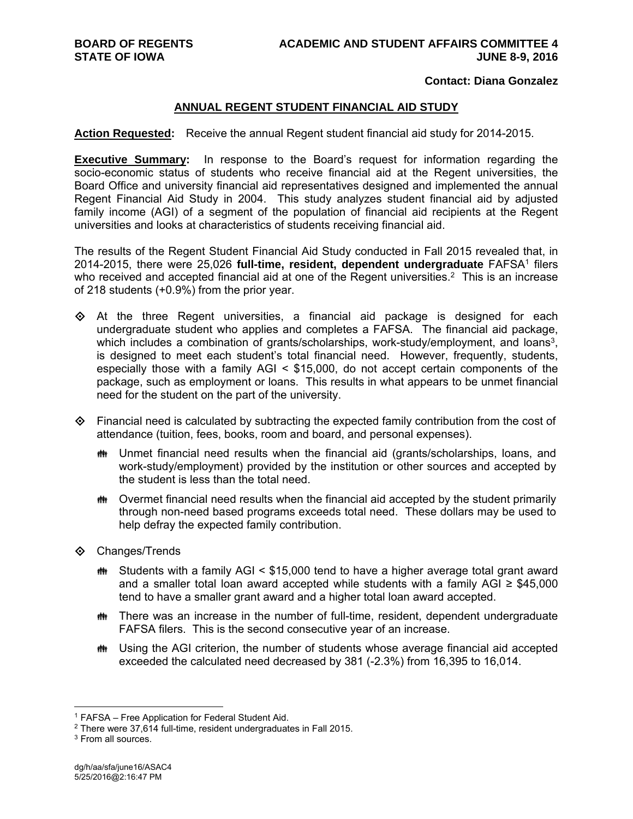#### **Contact: Diana Gonzalez**

### **ANNUAL REGENT STUDENT FINANCIAL AID STUDY**

**Action Requested:** Receive the annual Regent student financial aid study for 2014-2015.

**Executive Summary:** In response to the Board's request for information regarding the socio-economic status of students who receive financial aid at the Regent universities, the Board Office and university financial aid representatives designed and implemented the annual Regent Financial Aid Study in 2004. This study analyzes student financial aid by adjusted family income (AGI) of a segment of the population of financial aid recipients at the Regent universities and looks at characteristics of students receiving financial aid.

The results of the Regent Student Financial Aid Study conducted in Fall 2015 revealed that, in 2014-2015, there were 25,026 **full-time, resident, dependent undergraduate** FAFSA1 filers who received and accepted financial aid at one of the Regent universities.<sup>2</sup> This is an increase of 218 students (+0.9%) from the prior year.

 $\diamondsuit$  At the three Regent universities, a financial aid package is designed for each undergraduate student who applies and completes a FAFSA. The financial aid package, which includes a combination of grants/scholarships, work-study/employment, and loans<sup>3</sup>, is designed to meet each student's total financial need. However, frequently, students, especially those with a family AGI < \$15,000, do not accept certain components of the package, such as employment or loans. This results in what appears to be unmet financial need for the student on the part of the university.

- $\Diamond$  Financial need is calculated by subtracting the expected family contribution from the cost of attendance (tuition, fees, books, room and board, and personal expenses).
	- Unmet financial need results when the financial aid (grants/scholarships, loans, and work-study/employment) provided by the institution or other sources and accepted by the student is less than the total need.
	- $\ddot{\mathbf{m}}$  Overmet financial need results when the financial aid accepted by the student primarily through non-need based programs exceeds total need. These dollars may be used to help defray the expected family contribution.
- **♦ Changes/Trends** 
	- $m$  Students with a family AGI < \$15,000 tend to have a higher average total grant award and a smaller total loan award accepted while students with a family AGI  $\geq$  \$45,000 tend to have a smaller grant award and a higher total loan award accepted.
	- There was an increase in the number of full-time, resident, dependent undergraduate FAFSA filers. This is the second consecutive year of an increase.
	- Using the AGI criterion, the number of students whose average financial aid accepted exceeded the calculated need decreased by 381 (-2.3%) from 16,395 to 16,014.

 $\overline{a}$ 1 FAFSA – Free Application for Federal Student Aid.

<sup>2</sup> There were 37,614 full-time, resident undergraduates in Fall 2015.

<sup>&</sup>lt;sup>3</sup> From all sources.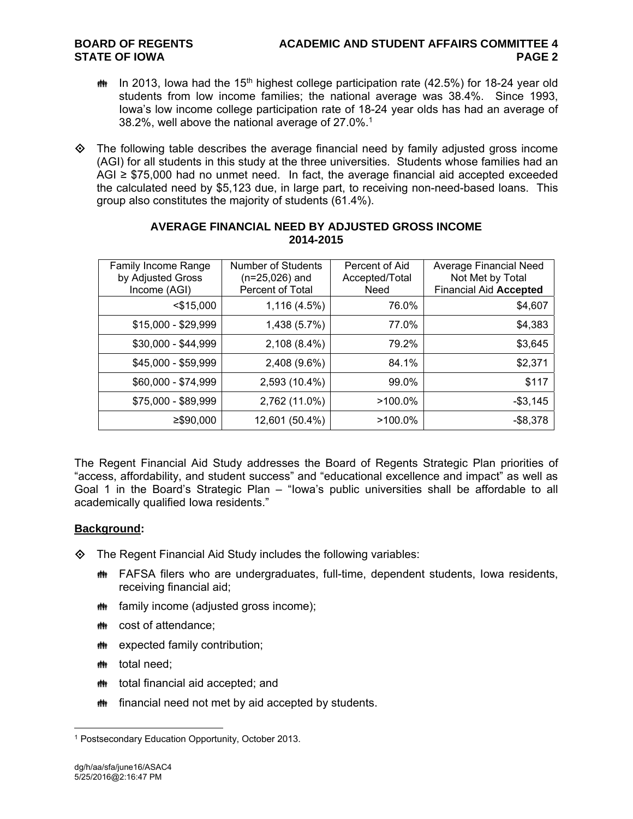### **BOARD OF REGENTS ACADEMIC AND STUDENT AFFAIRS COMMITTEE 4 STATE OF IOWA** PAGE 2

- $m$  In 2013, lowa had the 15<sup>th</sup> highest college participation rate (42.5%) for 18-24 year old students from low income families; the national average was 38.4%. Since 1993, Iowa's low income college participation rate of 18-24 year olds has had an average of 38.2%, well above the national average of 27.0%.1
- $\Diamond$  The following table describes the average financial need by family adjusted gross income (AGI) for all students in this study at the three universities. Students whose families had an AGI ≥ \$75,000 had no unmet need. In fact, the average financial aid accepted exceeded the calculated need by \$5,123 due, in large part, to receiving non-need-based loans. This group also constitutes the majority of students (61.4%).

| <b>Family Income Range</b><br>by Adjusted Gross<br>Income (AGI) | Number of Students<br>$(n=25,026)$ and<br>Percent of Total | Percent of Aid<br>Accepted/Total<br>Need | Average Financial Need<br>Not Met by Total<br><b>Financial Aid Accepted</b> |
|-----------------------------------------------------------------|------------------------------------------------------------|------------------------------------------|-----------------------------------------------------------------------------|
| $<$ \$15,000                                                    | 1,116 (4.5%)                                               | 76.0%                                    | \$4,607                                                                     |
| $$15,000 - $29,999$                                             | 1,438 (5.7%)                                               | 77.0%                                    | \$4,383                                                                     |
| \$30,000 - \$44,999                                             | 2,108 (8.4%)                                               | 79.2%                                    | \$3,645                                                                     |
| \$45,000 - \$59,999                                             | 2,408 (9.6%)                                               | 84.1%                                    | \$2,371                                                                     |
| \$60,000 - \$74,999                                             | 2,593 (10.4%)                                              | 99.0%                                    | \$117                                                                       |
| \$75,000 - \$89,999                                             | 2,762 (11.0%)                                              | $>100.0\%$                               | $- $3,145$                                                                  |
| $≥$ \$90,000                                                    | 12,601 (50.4%)                                             | $>100.0\%$                               | $-$ \$8,378                                                                 |

## **AVERAGE FINANCIAL NEED BY ADJUSTED GROSS INCOME 2014-2015**

The Regent Financial Aid Study addresses the Board of Regents Strategic Plan priorities of "access, affordability, and student success" and "educational excellence and impact" as well as Goal 1 in the Board's Strategic Plan – "Iowa's public universities shall be affordable to all academically qualified Iowa residents."

# **Background:**

 $\diamond$  The Regent Financial Aid Study includes the following variables:

- **## FAFSA filers who are undergraduates, full-time, dependent students, lowa residents,** receiving financial aid;
- **##** family income (adjusted gross income);
- cost of attendance;
- **\*\*\*** expected family contribution;
- *i*tetal need:
- **##** total financial aid accepted; and
- **##** financial need not met by aid accepted by students.

 $\overline{a}$ 1 Postsecondary Education Opportunity, October 2013.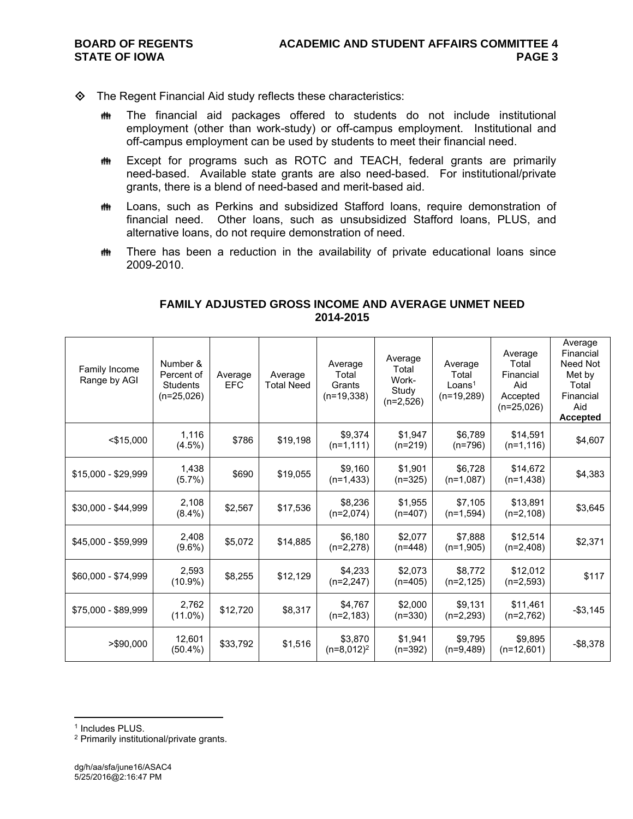- $\diamond$  The Regent Financial Aid study reflects these characteristics:
	- **##** The financial aid packages offered to students do not include institutional employment (other than work-study) or off-campus employment. Institutional and off-campus employment can be used by students to meet their financial need.
	- **##** Except for programs such as ROTC and TEACH, federal grants are primarily need-based. Available state grants are also need-based. For institutional/private grants, there is a blend of need-based and merit-based aid.
	- **##** Loans, such as Perkins and subsidized Stafford loans, require demonstration of financial need. Other loans, such as unsubsidized Stafford loans, PLUS, and alternative loans, do not require demonstration of need.
	- **##** There has been a reduction in the availability of private educational loans since 2009-2010.

| Family Income<br>Range by AGI | Number &<br>Percent of<br><b>Students</b><br>$(n=25,026)$ | Average<br><b>EFC</b> | Average<br><b>Total Need</b> | Average<br>Total<br>Grants<br>$(n=19,338)$ | Average<br>Total<br>Work-<br>Study<br>$(n=2,526)$ | Average<br>Total<br>Loans <sup>1</sup><br>$(n=19,289)$ | Average<br>Total<br>Financial<br>Aid<br>Accepted<br>$(n=25,026)$ | Average<br>Financial<br>Need Not<br>Met by<br>Total<br>Financial<br>Aid<br><b>Accepted</b> |
|-------------------------------|-----------------------------------------------------------|-----------------------|------------------------------|--------------------------------------------|---------------------------------------------------|--------------------------------------------------------|------------------------------------------------------------------|--------------------------------------------------------------------------------------------|
| $<$ \$15,000                  | 1,116<br>$(4.5\%)$                                        | \$786                 | \$19,198                     | \$9,374<br>$(n=1, 111)$                    | \$1,947<br>$(n=219)$                              | \$6,789<br>$(n=796)$                                   | \$14,591<br>$(n=1, 116)$                                         | \$4,607                                                                                    |
| \$15,000 - \$29,999           | 1,438<br>$(5.7\%)$                                        | \$690                 | \$19,055                     | \$9,160<br>$(n=1,433)$                     | \$1,901<br>$(n=325)$                              | \$6,728<br>$(n=1,087)$                                 | \$14,672<br>$(n=1,438)$                                          | \$4,383                                                                                    |
| \$30,000 - \$44,999           | 2,108<br>$(8.4\%)$                                        | \$2,567               | \$17,536                     | \$8,236<br>$(n=2,074)$                     | \$1,955<br>$(n=407)$                              | \$7,105<br>$(n=1,594)$                                 | \$13,891<br>$(n=2,108)$                                          | \$3,645                                                                                    |
| \$45,000 - \$59,999           | 2,408<br>$(9.6\%)$                                        | \$5,072               | \$14,885                     | \$6,180<br>$(n=2,278)$                     | \$2.077<br>$(n=448)$                              | \$7,888<br>$(n=1,905)$                                 | \$12,514<br>$(n=2,408)$                                          | \$2,371                                                                                    |
| \$60,000 - \$74,999           | 2,593<br>$(10.9\%)$                                       | \$8,255               | \$12,129                     | \$4,233<br>$(n=2,247)$                     | \$2,073<br>$(n=405)$                              | \$8,772<br>$(n=2, 125)$                                | \$12,012<br>$(n=2,593)$                                          | \$117                                                                                      |
| \$75,000 - \$89,999           | 2,762<br>$(11.0\%)$                                       | \$12,720              | \$8,317                      | \$4,767<br>$(n=2, 183)$                    | \$2,000<br>$(n=330)$                              | \$9.131<br>$(n=2,293)$                                 | \$11,461<br>$(n=2,762)$                                          | $- $3,145$                                                                                 |
| >\$90,000                     | 12,601<br>$(50.4\%)$                                      | \$33,792              | \$1,516                      | \$3,870<br>$(n=8,012)^2$                   | \$1,941<br>$(n=392)$                              | \$9,795<br>$(n=9,489)$                                 | \$9,895<br>$(n=12,601)$                                          | $-$ \$8,378                                                                                |

### **FAMILY ADJUSTED GROSS INCOME AND AVERAGE UNMET NEED 2014-2015**

 $\overline{a}$ 

<sup>&</sup>lt;sup>1</sup> Includes PLUS.

<sup>2</sup> Primarily institutional/private grants.